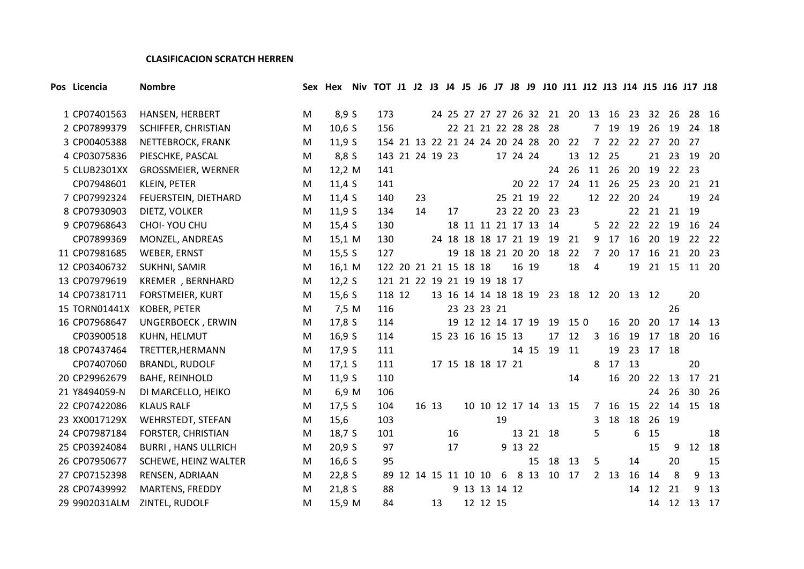#### **CLASIFICACION SCRATCH HERREN**

| Pos Licencia  | <b>Nombre</b>              |   | Sex Hex Niv TOT J1 J2 J3 J4 J5 J6 J7 J8 J9 J10 J11 J12 J13 J14 J15 J16 J17 J18 |                             |                      |    |       |    |                      |    |          |       |                                   |       |                |                 |                                        |       |       |       |       |
|---------------|----------------------------|---|--------------------------------------------------------------------------------|-----------------------------|----------------------|----|-------|----|----------------------|----|----------|-------|-----------------------------------|-------|----------------|-----------------|----------------------------------------|-------|-------|-------|-------|
| 1 CP07401563  | HANSEN, HERBERT            | M | 8,9 S                                                                          | 173                         |                      |    |       |    |                      |    |          |       | 24 25 27 27 27 26 32 21 20 13 16  |       |                |                 |                                        | 23 32 | 26    |       | 28 16 |
| 2 CP07899379  | SCHIFFER, CHRISTIAN        | M | $10,6$ S                                                                       | 156                         |                      |    |       |    | 22 21 21 22 28 28    |    |          |       | 28                                |       | $\overline{7}$ | 19              | 19                                     | 26    | 19    |       | 24 18 |
| 3 CP00405388  | NETTEBROCK, FRANK          | M | 11,9S                                                                          |                             |                      |    |       |    |                      |    |          |       | 154 21 13 22 21 24 24 20 24 28 20 | 22    | $\overline{7}$ | 22              | 22                                     | 27    |       | 20 27 |       |
| 4 CP03075836  | PIESCHKE, PASCAL           | M | 8,8 S                                                                          | 143 21 24 19 23             |                      |    |       |    |                      |    | 17 24 24 |       |                                   | 13    | 12             | 25              |                                        | 21    | 23    |       | 19 20 |
| 5 CLUB2301XX  | GROSSMEIER, WERNER         | M | 12,2 M                                                                         | 141                         |                      |    |       |    |                      |    |          |       |                                   | 24 26 | 11             | 26              |                                        | 20 19 |       | 22 23 |       |
| CP07948601    | KLEIN, PETER               | M | 11,4S                                                                          | 141                         |                      |    |       |    |                      |    |          |       | 20 22 17                          | 24    | 11             | 26              | 25                                     | 23    | 20    |       | 21 21 |
| 7 CP07992324  | FEUERSTEIN, DIETHARD       | M | 11,4S                                                                          | 140                         |                      | 23 |       |    |                      |    | 25 21 19 |       | 22                                |       |                | 12 22           | 20                                     | 24    |       | 19    | 24    |
| 8 CP07930903  | DIETZ, VOLKER              | M | 11,9S                                                                          | 134                         |                      | 14 |       | 17 |                      |    | 23 22 20 |       | 23                                | 23    |                |                 | 22                                     | 21    |       | 21 19 |       |
| 9 CP07968643  | CHOI- YOU CHU              | M | 15,4S                                                                          | 130                         |                      |    |       |    |                      |    |          |       | 18 11 11 21 17 13 14              |       |                | 522             |                                        | 22 22 | 19    |       | 16 24 |
| CP07899369    | MONZEL, ANDREAS            | M | 15,1 M                                                                         | 130                         |                      |    |       |    | 24 18 18 18 17 21 19 |    |          |       | 19                                | 21    | 9              | 17              | 16                                     | 20    | 19    |       | 22 22 |
| 11 CP07981685 | WEBER, ERNST               | M | 15,5 S                                                                         | 127                         |                      |    |       |    |                      |    |          |       | 19 18 18 21 20 20 18              | 22    | $\overline{7}$ | 20              | 17                                     | 16    | 21    |       | 20 23 |
| 12 CP03406732 | SUKHNI, SAMIR              | M | 16,1 M                                                                         | 122 20 21 21 15 18 18       |                      |    |       |    |                      |    |          | 16 19 |                                   | 18    | 4              |                 | 19                                     |       | 21 15 |       | 11 20 |
| 13 CP07979619 | KREMER, BERNHARD           | M | 12,2S                                                                          | 121 21 22 19 21 19 19 18 17 |                      |    |       |    |                      |    |          |       |                                   |       |                |                 |                                        |       |       |       |       |
| 14 CP07381711 | <b>FORSTMEIER, KURT</b>    | M | 15,6S                                                                          | 118 12                      |                      |    |       |    |                      |    |          |       |                                   |       |                |                 | 13 16 14 14 18 18 19 23 18 12 20 13 12 |       |       | 20    |       |
| 15 TORN01441X | KOBER, PETER               | M | 7,5 M                                                                          | 116                         |                      |    |       |    | 23 23 23 21          |    |          |       |                                   |       |                |                 |                                        |       | 26    |       |       |
| 16 CP07968647 | UNGERBOECK, ERWIN          | M | 17,8 S                                                                         | 114                         |                      |    |       |    | 19 12 12 14 17 19    |    |          |       | 19                                | 150   |                | 16              | 20                                     | 20    | 17    |       | 14 13 |
| CP03900518    | KUHN, HELMUT               | M | 16,9 S                                                                         | 114                         |                      |    |       |    | 15 23 16 16 15 13    |    |          |       | 17                                | 12    | 3              | 16              | 19                                     | 17    | 18    |       | 20 16 |
| 18 CP07437464 | TRETTER, HERMANN           | M | 17,9 S                                                                         | 111                         |                      |    |       |    |                      |    |          | 14 15 |                                   | 19 11 |                | 19              | 23                                     | 17    | 18    |       |       |
| CP07407060    | <b>BRANDL, RUDOLF</b>      | M | $17,1$ S                                                                       | 111                         |                      |    |       |    | 17 15 18 18 17 21    |    |          |       |                                   |       | 8              | 17              | 13                                     |       |       | 20    |       |
| 20 CP29962679 | <b>BAHE, REINHOLD</b>      | M | 11,9S                                                                          | 110                         |                      |    |       |    |                      |    |          |       |                                   | 14    |                | 16              | 20                                     | 22    | 13    |       | 17 21 |
| 21 Y8494059-N | DI MARCELLO, HEIKO         | M | 6,9 M                                                                          | 106                         |                      |    |       |    |                      |    |          |       |                                   |       |                |                 |                                        | 24    | 26    |       | 30 26 |
| 22 CP07422086 | <b>KLAUS RALF</b>          | M | 17,5 S                                                                         | 104                         |                      |    | 16 13 |    |                      |    |          |       | 10 10 12 17 14 13 15              |       | $7^{\circ}$    | 16              | 15                                     | 22    | 14    |       | 15 18 |
| 23 XX0017129X | WEHRSTEDT, STEFAN          | M | 15,6                                                                           | 103                         |                      |    |       |    |                      | 19 |          |       |                                   |       | 3              | 18              | 18                                     | - 26  | 19    |       |       |
| 24 CP07987184 | FORSTER, CHRISTIAN         | M | 18,7S                                                                          | 101                         |                      |    |       | 16 |                      |    |          |       | 13 21 18                          |       | 5              |                 | 6                                      | 15    |       |       | 18    |
| 25 CP03924084 | <b>BURRI, HANS ULLRICH</b> | M | 20,9 S                                                                         | 97                          |                      |    |       | 17 |                      |    | 9 13 22  |       |                                   |       |                |                 |                                        | 15    | 9     |       | 12 18 |
| 26 CP07950677 | SCHEWE, HEINZ WALTER       | M | 16,6S                                                                          | 95                          |                      |    |       |    |                      |    |          | 15    |                                   | 18 13 | 5              |                 | 14                                     |       | 20    |       | 15    |
| 27 CP07152398 | RENSEN, ADRIAAN            | M | 22,8S                                                                          |                             | 89 12 14 15 11 10 10 |    |       |    |                      | 6  |          |       | 8 13 10 17                        |       |                | 2 <sub>13</sub> | 16                                     | 14    | 8     | 9     | 13    |
| 28 CP07439992 | <b>MARTENS, FREDDY</b>     | M | 21,8S                                                                          | 88                          |                      |    |       |    | 9 13 13 14 12        |    |          |       |                                   |       |                |                 |                                        | 14 12 | 21    | 9     | 13    |
| 29 9902031ALM | ZINTEL, RUDOLF             | M | 15,9 M                                                                         | 84                          |                      |    | 13    |    | 12 12 15             |    |          |       |                                   |       |                |                 |                                        | 14    | 12    |       | 13 17 |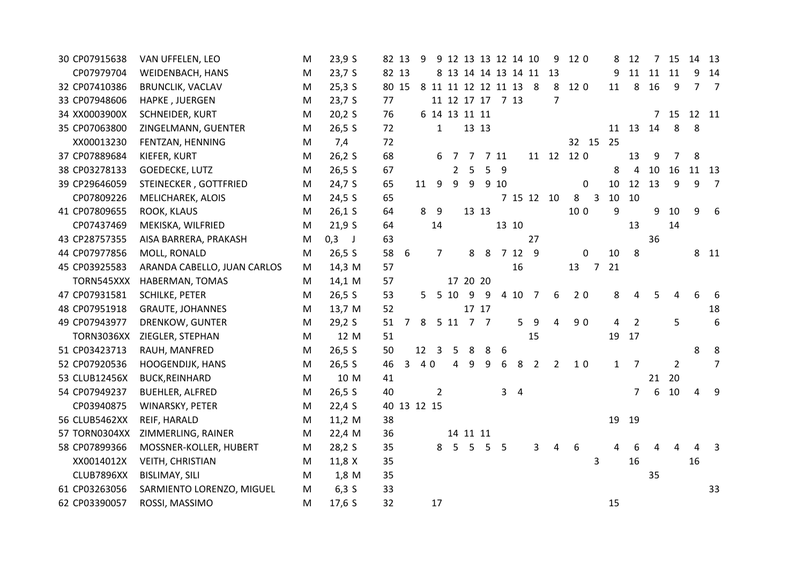| 30 CP07915638 | VAN UFFELEN, LEO            | M | 23,9 S   | 82 13       |                | 9  |                         |                       | 9 12 13 13 12 14 10   |   |      |                |                     | 9              | 12 0 |                | 8            | 12             | 7                | 15             | 14             | 13             |
|---------------|-----------------------------|---|----------|-------------|----------------|----|-------------------------|-----------------------|-----------------------|---|------|----------------|---------------------|----------------|------|----------------|--------------|----------------|------------------|----------------|----------------|----------------|
| CP07979704    | WEIDENBACH, HANS            | M | 23,7S    | 82 13       |                |    |                         |                       |                       |   |      |                | 8 13 14 14 13 14 11 | 13             |      |                | 9            | 11             | 11               | 11             | q              | 14             |
| 32 CP07410386 | <b>BRUNCLIK, VACLAV</b>     | M | $25,3$ S | 80 15       |                |    |                         |                       | 8 11 11 12 12 11 13 8 |   |      |                |                     | 8              | 12 0 |                | 11           | 8              | 16               | 9              | $\overline{7}$ | $\overline{7}$ |
| 33 CP07948606 | HAPKE, JUERGEN              | M | 23,7 S   | 77          |                |    |                         |                       | 11 12 17 17 7 13      |   |      |                |                     | $\overline{7}$ |      |                |              |                |                  |                |                |                |
| 34 XX0003900X | SCHNEIDER, KURT             | M | 20,2S    | 76          |                |    |                         |                       | 6 14 13 11 11         |   |      |                |                     |                |      |                |              |                | 7                | 15             | 12 11          |                |
| 35 CP07063800 | ZINGELMANN, GUENTER         | M | 26,5 S   | 72          |                |    | $\mathbf{1}$            |                       | 13 13                 |   |      |                |                     |                |      |                |              | 11 13          | 14               | 8              | 8              |                |
| XX00013230    | FENTZAN, HENNING            | M | 7,4      | 72          |                |    |                         |                       |                       |   |      |                |                     |                |      | 32 15          | 25           |                |                  |                |                |                |
| 37 CP07889684 | KIEFER, KURT                | M | 26,2S    | 68          |                |    | 6                       | 7                     | 7                     |   | 7 11 |                |                     | 11 12 12 0     |      |                |              | 13             | 9                | 7              | 8              |                |
| 38 CP03278133 | GOEDECKE, LUTZ              | M | 26,5 S   | 67          |                |    |                         | $\mathbf{2}^{\prime}$ | 5                     | 5 | 9    |                |                     |                |      |                | 8            | 4              | 10               | 16             |                | 11 13          |
| 39 CP29646059 | STEINECKER, GOTTFRIED       | M | 24,7 S   | 65          |                | 11 | 9                       | 9                     | 9                     |   | 9 10 |                |                     |                |      | 0              | 10           | 12             | 13               | 9              | 9              | $\overline{7}$ |
| CP07809226    | MELICHAREK, ALOIS           | M | $24,5$ S | 65          |                |    |                         |                       |                       |   |      |                | 7 15 12 10          |                | 8    | $\overline{3}$ | 10           | 10             |                  |                |                |                |
| 41 CP07809655 | ROOK, KLAUS                 | M | $26,1$ S | 64          |                |    | 8 9                     |                       | 13 13                 |   |      |                |                     |                | 10 0 |                | 9            |                | 9                | 10             | 9              | 6              |
| CP07437469    | MEKISKA, WILFRIED           | M | 21,9S    | 64          |                |    | 14                      |                       |                       |   |      | 13 10          |                     |                |      |                |              | 13             |                  | 14             |                |                |
| 43 CP28757355 | AISA BARRERA, PRAKASH       | M | $0,3$ J  | 63          |                |    |                         |                       |                       |   |      |                | 27                  |                |      |                |              |                | 36               |                |                |                |
| 44 CP07977856 | MOLL, RONALD                | M | 26,5 S   | 58          | 6              |    | $\overline{7}$          |                       | 8                     | 8 |      | 7 12 9         |                     |                |      | $\mathbf 0$    | 10           | 8              |                  |                |                | 8 11           |
| 45 CP03925583 | ARANDA CABELLO, JUAN CARLOS | M | 14,3 M   | 57          |                |    |                         |                       |                       |   |      | 16             |                     |                | 13   | 7              | 21           |                |                  |                |                |                |
| TORN545XXX    | HABERMAN, TOMAS             | M | 14,1 M   | 57          |                |    |                         |                       | 17 20 20              |   |      |                |                     |                |      |                |              |                |                  |                |                |                |
| 47 CP07931581 | <b>SCHILKE, PETER</b>       | M | 26,5 S   | 53          |                |    | 5 5 10                  |                       | 9                     | 9 |      | 4 10           | $\overline{7}$      | 6              | 20   |                | 8            | 4              | 5                | 4              | 6              | - 6            |
| 48 CP07951918 | <b>GRAUTE, JOHANNES</b>     | M | 13,7 M   | 52          |                |    |                         |                       | 17 17                 |   |      |                |                     |                |      |                |              |                |                  |                |                | 18             |
| 49 CP07943977 | DRENKOW, GUNTER             | M | 29,2S    | 51          | $\overline{7}$ | 8  |                         |                       | 5 11 7 7              |   |      | 5.             | 9                   | 4              | 90   |                | 4            | $\overline{2}$ |                  | 5              |                | 6              |
| TORN3036XX    | ZIEGLER, STEPHAN            | M | 12 M     | 51          |                |    |                         |                       |                       |   |      |                | 15                  |                |      |                | 19           | 17             |                  |                |                |                |
| 51 CP03423713 | RAUH, MANFRED               | M | 26,5 S   | 50          |                | 12 | $\overline{\mathbf{3}}$ | 5                     | 8                     | 8 | 6    |                |                     |                |      |                |              |                |                  |                | 8              | 8              |
| 52 CP07920536 | HOOGENDIJK, HANS            | M | 26,5 S   | 46          | 3              | 40 |                         | 4                     | 9                     | 9 | 6    | 8              | 2                   | $\overline{2}$ | 10   |                | $\mathbf{1}$ | $\overline{7}$ |                  | $\overline{2}$ |                | $\overline{7}$ |
| 53 CLUB12456X | <b>BUCK, REINHARD</b>       | M | 10 M     | 41          |                |    |                         |                       |                       |   |      |                |                     |                |      |                |              |                | 21               | 20             |                |                |
| 54 CP07949237 | <b>BUEHLER, ALFRED</b>      | M | 26,5 S   | 40          |                |    | $\overline{2}$          |                       |                       |   |      | 3 <sub>4</sub> |                     |                |      |                |              | $\overline{7}$ | $\boldsymbol{6}$ | 10             | 4              | 9              |
| CP03940875    | WINARSKY, PETER             | M | 22,4S    | 40 13 12 15 |                |    |                         |                       |                       |   |      |                |                     |                |      |                |              |                |                  |                |                |                |
| 56 CLUB5462XX | REIF, HARALD                | M | 11,2 M   | 38          |                |    |                         |                       |                       |   |      |                |                     |                |      |                | 19           | 19             |                  |                |                |                |
| 57 TORN0304XX | ZIMMERLING, RAINER          | M | 22,4 M   | 36          |                |    |                         |                       | 14 11 11              |   |      |                |                     |                |      |                |              |                |                  |                |                |                |
| 58 CP07899366 | MOSSNER-KOLLER, HUBERT      | M | 28,2S    | 35          |                |    | 8                       | 5                     | 5                     | 5 | 5    |                | 3                   | 4              | 6    |                | 4            | 6              |                  | 4              | 4              | 3              |
| XX0014012X    | <b>VEITH, CHRISTIAN</b>     | M | 11,8 X   | 35          |                |    |                         |                       |                       |   |      |                |                     |                |      | 3              |              | 16             |                  |                | 16             |                |
| CLUB7896XX    | <b>BISLIMAY, SILI</b>       | M | $1,8$ M  | 35          |                |    |                         |                       |                       |   |      |                |                     |                |      |                |              |                | 35               |                |                |                |
| 61 CP03263056 | SARMIENTO LORENZO, MIGUEL   | M | $6,3$ S  | 33          |                |    |                         |                       |                       |   |      |                |                     |                |      |                |              |                |                  |                |                | 33             |
| 62 CP03390057 | ROSSI, MASSIMO              | M | 17,6 S   | 32          |                |    | 17                      |                       |                       |   |      |                |                     |                |      |                | 15           |                |                  |                |                |                |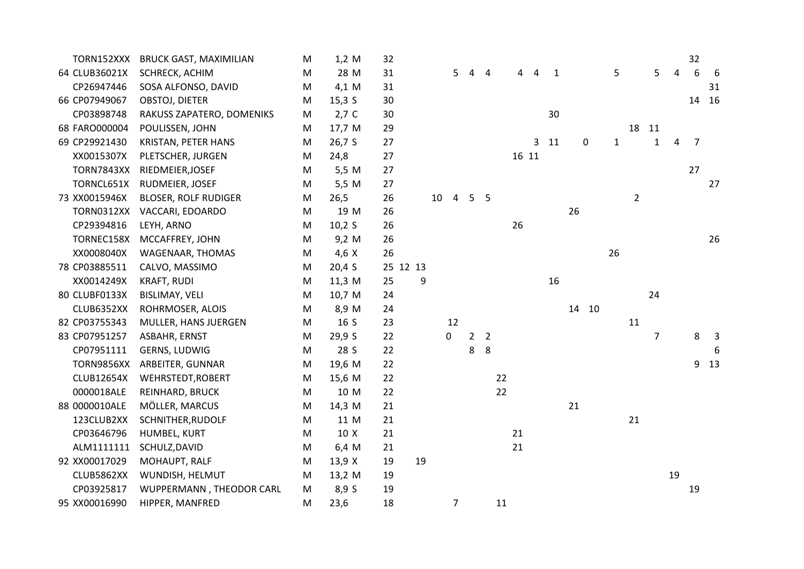| TORN152XXX        | <b>BRUCK GAST, MAXIMILIAN</b> | M         | 1,2 M        | 32 |          |                                   |   |                |    |       |                 |             |              |                |                |    | 32 |       |
|-------------------|-------------------------------|-----------|--------------|----|----------|-----------------------------------|---|----------------|----|-------|-----------------|-------------|--------------|----------------|----------------|----|----|-------|
| 64 CLUB36021X     | SCHRECK, ACHIM                | M         | 28 M         | 31 |          | 5                                 |   | 4              | 4  | 4     | 1               |             | 5            |                | 5              | 4  | 6  | -6    |
| CP26947446        | SOSA ALFONSO, DAVID           | M         | 4,1 M        | 31 |          |                                   |   |                |    |       |                 |             |              |                |                |    |    | 31    |
| 66 CP07949067     | OBSTOJ, DIETER                | M         | 15,3 S       | 30 |          |                                   |   |                |    |       |                 |             |              |                |                |    |    | 14 16 |
| CP03898748        | RAKUSS ZAPATERO, DOMENIKS     | M         | $2,7$ C      | 30 |          |                                   |   |                |    |       | 30              |             |              |                |                |    |    |       |
| 68 FARO000004     | POULISSEN, JOHN               | M         | 17,7 M       | 29 |          |                                   |   |                |    |       |                 |             |              | 18             | 11             |    |    |       |
| 69 CP29921430     | KRISTAN, PETER HANS           | M         | 26,7 S       | 27 |          |                                   |   |                |    |       | 3 <sub>11</sub> | $\mathbf 0$ | $\mathbf{1}$ |                | $\mathbf 1$    | 4  | 7  |       |
| XX0015307X        | PLETSCHER, JURGEN             | M         | 24,8         | 27 |          |                                   |   |                |    | 16 11 |                 |             |              |                |                |    |    |       |
| <b>TORN7843XX</b> | RIEDMEIER, JOSEF              | M         | 5,5 M        | 27 |          |                                   |   |                |    |       |                 |             |              |                |                |    | 27 |       |
| TORNCL651X        | RUDMEIER, JOSEF               | M         | 5,5 M        | 27 |          |                                   |   |                |    |       |                 |             |              |                |                |    |    | 27    |
| 73 XX0015946X     | <b>BLOSER, ROLF RUDIGER</b>   | M         | 26,5         | 26 |          | $\overline{4}$<br>10 <sup>°</sup> |   | 5 <sub>5</sub> |    |       |                 |             |              | $\overline{2}$ |                |    |    |       |
| TORN0312XX        | VACCARI, EDOARDO              | M         | 19 M         | 26 |          |                                   |   |                |    |       |                 | 26          |              |                |                |    |    |       |
| CP29394816        | LEYH, ARNO                    | M         | 10,2 S       | 26 |          |                                   |   |                | 26 |       |                 |             |              |                |                |    |    |       |
| TORNEC158X        | MCCAFFREY, JOHN               | ${\sf M}$ | 9,2 M        | 26 |          |                                   |   |                |    |       |                 |             |              |                |                |    |    | 26    |
| XX0008040X        | WAGENAAR, THOMAS              | M         | $4,6 \times$ | 26 |          |                                   |   |                |    |       |                 |             | 26           |                |                |    |    |       |
| 78 CP03885511     | CALVO, MASSIMO                | M         | 20,4S        |    | 25 12 13 |                                   |   |                |    |       |                 |             |              |                |                |    |    |       |
| XX0014249X        | <b>KRAFT, RUDI</b>            | M         | 11,3 M       | 25 | 9        |                                   |   |                |    |       | 16              |             |              |                |                |    |    |       |
| 80 CLUBF0133X     | <b>BISLIMAY, VELI</b>         | M         | 10,7 M       | 24 |          |                                   |   |                |    |       |                 |             |              |                | 24             |    |    |       |
| CLUB6352XX        | ROHRMOSER, ALOIS              | M         | 8,9 M        | 24 |          |                                   |   |                |    |       |                 | 14 10       |              |                |                |    |    |       |
| 82 CP03755343     | MULLER, HANS JUERGEN          | M         | 16 S         | 23 |          | 12                                |   |                |    |       |                 |             |              | 11             |                |    |    |       |
| 83 CP07951257     | ASBAHR, ERNST                 | M         | 29,9 S       | 22 |          | 0                                 |   | 2 <sub>2</sub> |    |       |                 |             |              |                | $\overline{7}$ |    | 8  | 3     |
| CP07951111        | GERNS, LUDWIG                 | M         | 28 S         | 22 |          |                                   | 8 | 8              |    |       |                 |             |              |                |                |    |    | 6     |
| TORN9856XX        | ARBEITER, GUNNAR              | M         | 19,6 M       | 22 |          |                                   |   |                |    |       |                 |             |              |                |                |    |    | 9 13  |
| <b>CLUB12654X</b> | WEHRSTEDT, ROBERT             | M         | 15,6 M       | 22 |          |                                   |   |                | 22 |       |                 |             |              |                |                |    |    |       |
| 0000018ALE        | REINHARD, BRUCK               | M         | 10 M         | 22 |          |                                   |   |                | 22 |       |                 |             |              |                |                |    |    |       |
| 88 0000010ALE     | MÖLLER, MARCUS                | M         | 14,3 M       | 21 |          |                                   |   |                |    |       |                 | 21          |              |                |                |    |    |       |
| 123CLUB2XX        | SCHNITHER, RUDOLF             | M         | 11 M         | 21 |          |                                   |   |                |    |       |                 |             |              | 21             |                |    |    |       |
| CP03646796        | HUMBEL, KURT                  | M         | 10 X         | 21 |          |                                   |   |                | 21 |       |                 |             |              |                |                |    |    |       |
| ALM1111111        | SCHULZ, DAVID                 | M         | 6,4 M        | 21 |          |                                   |   |                | 21 |       |                 |             |              |                |                |    |    |       |
| 92 XX00017029     | MOHAUPT, RALF                 | M         | 13,9 X       | 19 | 19       |                                   |   |                |    |       |                 |             |              |                |                |    |    |       |
| CLUB5862XX        | WUNDISH, HELMUT               | M         | 13,2 M       | 19 |          |                                   |   |                |    |       |                 |             |              |                |                | 19 |    |       |
| CP03925817        | WUPPERMANN, THEODOR CARL      | ${\sf M}$ | 8,9 S        | 19 |          |                                   |   |                |    |       |                 |             |              |                |                |    | 19 |       |
| 95 XX00016990     | HIPPER, MANFRED               | M         | 23,6         | 18 |          | $\overline{7}$                    |   |                | 11 |       |                 |             |              |                |                |    |    |       |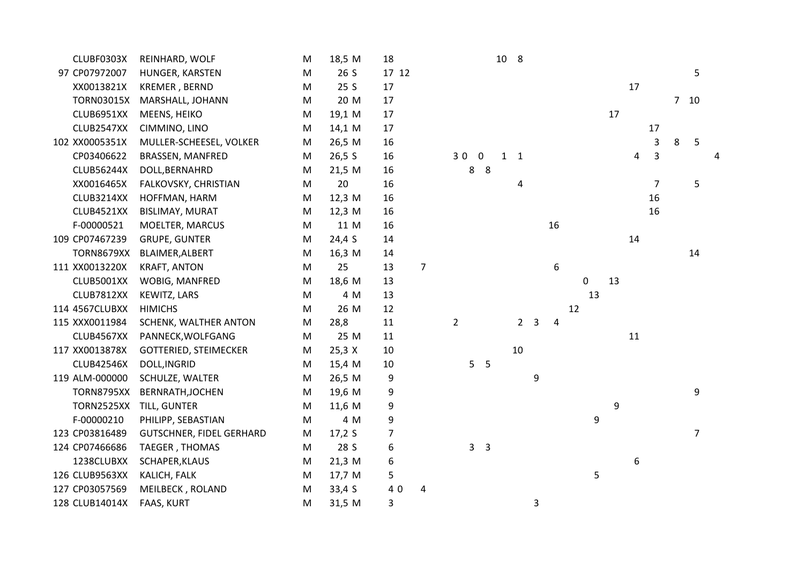| CLUBF0303X        | REINHARD, WOLF               | M         | 18,5 M   | 18    |                |                |                | 10 8        |                |   |    |    |    |    |    |                |   |            |  |
|-------------------|------------------------------|-----------|----------|-------|----------------|----------------|----------------|-------------|----------------|---|----|----|----|----|----|----------------|---|------------|--|
| 97 CP07972007     | HUNGER, KARSTEN              | M         | 26 S     | 17 12 |                |                |                |             |                |   |    |    |    |    |    |                |   | 5          |  |
| XX0013821X        | <b>KREMER, BERND</b>         | M         | 25 S     | 17    |                |                |                |             |                |   |    |    |    |    | 17 |                |   |            |  |
| <b>TORN03015X</b> | MARSHALL, JOHANN             | M         | 20 M     | 17    |                |                |                |             |                |   |    |    |    |    |    |                |   | $7\quad10$ |  |
| CLUB6951XX        | MEENS, HEIKO                 | M         | 19,1 M   | 17    |                |                |                |             |                |   |    |    |    | 17 |    |                |   |            |  |
| CLUB2547XX        | CIMMINO, LINO                | M         | 14,1 M   | 17    |                |                |                |             |                |   |    |    |    |    |    | 17             |   |            |  |
| 102 XX0005351X    | MULLER-SCHEESEL, VOLKER      | M         | 26,5 M   | 16    |                |                |                |             |                |   |    |    |    |    |    | 3              | 8 | 5          |  |
| CP03406622        | BRASSEN, MANFRED             | M         | 26,5 S   | 16    |                |                | 300            | $1 \quad 1$ |                |   |    |    |    |    | 4  | 3              |   |            |  |
| <b>CLUB56244X</b> | DOLL, BERNAHRD               | M         | 21,5 M   | 16    |                |                | 8 8            |             |                |   |    |    |    |    |    |                |   |            |  |
| XX0016465X        | FALKOVSKY, CHRISTIAN         | ${\sf M}$ | 20       | 16    |                |                |                |             | 4              |   |    |    |    |    |    | $\overline{7}$ |   | 5          |  |
| CLUB3214XX        | HOFFMAN, HARM                | M         | $12,3$ M | 16    |                |                |                |             |                |   |    |    |    |    |    | 16             |   |            |  |
| CLUB4521XX        | <b>BISLIMAY, MURAT</b>       | M         | 12,3 M   | 16    |                |                |                |             |                |   |    |    |    |    |    | 16             |   |            |  |
| F-00000521        | MOELTER, MARCUS              | M         | 11 M     | 16    |                |                |                |             |                |   | 16 |    |    |    |    |                |   |            |  |
| 109 CP07467239    | <b>GRUPE, GUNTER</b>         | M         | 24,4 S   | 14    |                |                |                |             |                |   |    |    |    |    | 14 |                |   |            |  |
| <b>TORN8679XX</b> | BLAIMER, ALBERT              | M         | 16,3 M   | 14    |                |                |                |             |                |   |    |    |    |    |    |                |   | 14         |  |
| 111 XX0013220X    | <b>KRAFT, ANTON</b>          | M         | 25       | 13    | $\overline{7}$ |                |                |             |                |   | 6  |    |    |    |    |                |   |            |  |
| CLUB5001XX        | WOBIG, MANFRED               | M         | 18,6 M   | 13    |                |                |                |             |                |   |    |    | 0  | 13 |    |                |   |            |  |
| CLUB7812XX        | KEWITZ, LARS                 | M         | 4 M      | 13    |                |                |                |             |                |   |    |    | 13 |    |    |                |   |            |  |
| 114 4567CLUBXX    | <b>HIMICHS</b>               | M         | 26 M     | 12    |                |                |                |             |                |   |    | 12 |    |    |    |                |   |            |  |
| 115 XXX0011984    | SCHENK, WALTHER ANTON        | M         | 28,8     | 11    |                | $\overline{2}$ |                |             | 2 <sub>3</sub> |   | 4  |    |    |    |    |                |   |            |  |
| CLUB4567XX        | PANNECK, WOLFGANG            | M         | 25 M     | 11    |                |                |                |             |                |   |    |    |    |    | 11 |                |   |            |  |
| 117 XX0013878X    | <b>GOTTERIED, STEIMECKER</b> | M         | 25,3 X   | 10    |                |                |                |             | 10             |   |    |    |    |    |    |                |   |            |  |
| <b>CLUB42546X</b> | DOLL, INGRID                 | M         | 15,4 M   | 10    |                |                | 5 <sub>5</sub> |             |                |   |    |    |    |    |    |                |   |            |  |
| 119 ALM-000000    | SCHULZE, WALTER              | M         | 26,5 M   | 9     |                |                |                |             |                | 9 |    |    |    |    |    |                |   |            |  |
| <b>TORN8795XX</b> | BERNRATH, JOCHEN             | M         | 19,6 M   | 9     |                |                |                |             |                |   |    |    |    |    |    |                |   | 9          |  |
| <b>TORN2525XX</b> | TILL, GUNTER                 | M         | 11,6 M   | 9     |                |                |                |             |                |   |    |    |    | 9  |    |                |   |            |  |
| F-00000210        | PHILIPP, SEBASTIAN           | M         | 4 M      | 9     |                |                |                |             |                |   |    |    | 9  |    |    |                |   |            |  |
| 123 CP03816489    | GUTSCHNER, FIDEL GERHARD     | M         | 17,2S    | 7     |                |                |                |             |                |   |    |    |    |    |    |                |   | 7          |  |
| 124 CP07466686    | TAEGER, THOMAS               | M         | 28 S     | 6     |                |                | 3 <sup>3</sup> |             |                |   |    |    |    |    |    |                |   |            |  |
| 1238CLUBXX        | SCHAPER, KLAUS               | M         | 21,3 M   | 6     |                |                |                |             |                |   |    |    |    |    | 6  |                |   |            |  |
| 126 CLUB9563XX    | KALICH, FALK                 | M         | 17,7 M   | 5     |                |                |                |             |                |   |    |    | 5  |    |    |                |   |            |  |
| 127 CP03057569    | MEILBECK, ROLAND             | M         | 33,4 S   | 40    | 4              |                |                |             |                |   |    |    |    |    |    |                |   |            |  |
| 128 CLUB14014X    | <b>FAAS, KURT</b>            | M         | 31,5 M   | 3     |                |                |                |             |                | 3 |    |    |    |    |    |                |   |            |  |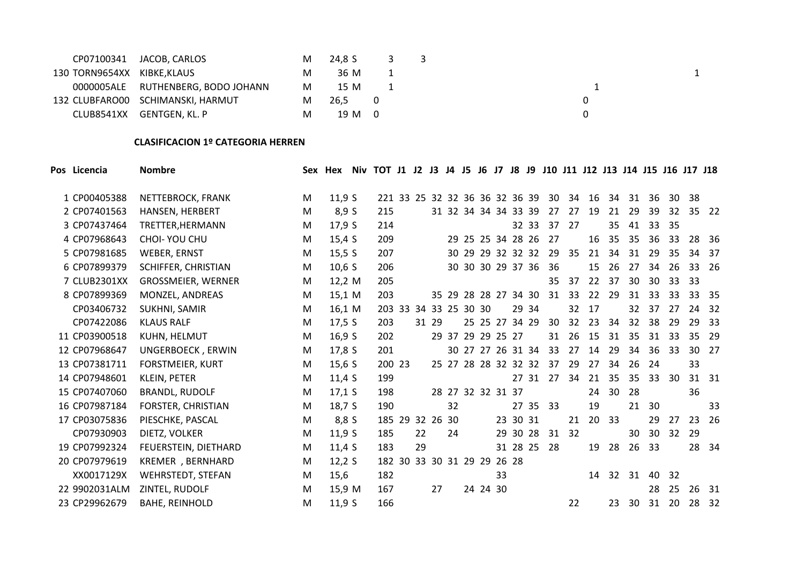|                             | CP07100341 JACOB, CARLOS           | M | 24.8 S 3 3 |     |  |  |  |  |
|-----------------------------|------------------------------------|---|------------|-----|--|--|--|--|
| 130 TORN9654XX KIBKE, KLAUS |                                    | M | 36 M       |     |  |  |  |  |
|                             | 0000005ALE RUTHENBERG, BODO JOHANN | M | 15 M       |     |  |  |  |  |
|                             | 132 CLUBFARO00 SCHIMANSKI, HARMUT  | M | 26,5       | - 0 |  |  |  |  |
|                             | CLUB8541XX GENTGEN, KL, P          | M | 19 M 0     |     |  |  |  |  |

#### **CLASIFICACION 1º CATEGORIA HERREN**

| Pos Licencia  | <b>Nombre</b>            |   | Sex Hex  | Niv TOT J1 J2 J3 J4 J5 J6 J7 J8 J9 J10 J11 J12 J13 J14 J15 J16 J17 J18 |    |       |    |                |                   |                      |       |                         |                 |    |       |                 |    |                 |       |       |
|---------------|--------------------------|---|----------|------------------------------------------------------------------------|----|-------|----|----------------|-------------------|----------------------|-------|-------------------------|-----------------|----|-------|-----------------|----|-----------------|-------|-------|
| 1 CP00405388  | NETTEBROCK, FRANK        | M | 11,9S    | 221 33 25 32 32 36 36 32 36 39                                         |    |       |    |                |                   |                      |       | 30                      | 34              | 16 | 34    | 31              | 36 |                 | 30 38 |       |
| 2 CP07401563  | HANSEN, HERBERT          | M | 8,9S     | 215                                                                    |    |       |    |                |                   | 31 32 34 34 34 33 39 |       | 27                      | 27              | 19 | 21    | 29              | 39 | 32 <sup>2</sup> |       | 35 22 |
| 3 CP07437464  | TRETTER, HERMANN         | M | 17,9 S   | 214                                                                    |    |       |    |                |                   |                      | 32 33 | 37                      | 27              |    | 35    | 41              | 33 | 35              |       |       |
| 4 CP07968643  | CHOI- YOU CHU            | M | 15,4 S   | 209                                                                    |    |       |    |                |                   | 29 25 25 34 28 26    |       | 27                      |                 | 16 | 35    | 35              | 36 | 33              |       | 28 36 |
| 5 CP07981685  | <b>WEBER, ERNST</b>      | M | 15,5 S   | 207                                                                    |    |       |    |                |                   | 30 29 29 32 32 32    |       | 29                      | 35              | 21 | 34    | 31              | 29 | 35              |       | 34 37 |
| 6 CP07899379  | SCHIFFER, CHRISTIAN      | M | 10,6 S   | 206                                                                    |    |       |    |                |                   | 30 30 30 29 37 36    |       | 36                      |                 | 15 | 26    | 27              | 34 | 26              |       | 33 26 |
| 7 CLUB2301XX  | GROSSMEIER, WERNER       | M | 12,2 M   | 205                                                                    |    |       |    |                |                   |                      |       | 35                      | 37              | 22 | 37    | 30              | 30 | 33              | 33    |       |
| 8 CP07899369  | MONZEL, ANDREAS          | M | 15,1 M   | 203                                                                    |    |       |    |                |                   | 35 29 28 28 27 34 30 |       | 31                      | 33              | 22 | 29    | 31              | 33 | 33              |       | 33 35 |
| CP03406732    | SUKHNI, SAMIR            | M | 16,1 M   | 203 33                                                                 |    |       |    | 34 33 25 30 30 |                   |                      | 29 34 |                         | 32              | 17 |       | 32 <sup>2</sup> | 37 | 27              |       | 24 32 |
| CP07422086    | <b>KLAUS RALF</b>        | M | 17,5 S   | 203                                                                    |    | 31 29 |    |                |                   | 25 25 27 34 29       |       | 30                      | 32 <sup>2</sup> | 23 | 34    | 32 <sup>2</sup> | 38 | 29              |       | 29 33 |
| 11 CP03900518 | KUHN, HELMUT             | M | 16,9S    | 202                                                                    |    |       |    |                | 29 37 29 29 25 27 |                      |       | 31                      | 26              | 15 | 31    | 35              | 31 | 33              |       | 35 29 |
| 12 CP07968647 | UNGERBOECK, ERWIN        | M | 17,8S    | 201                                                                    |    |       |    |                |                   | 30 27 27 26 31 34    |       | 33                      | 27              | 14 | 29    | 34              | 36 | 33              |       | 30 27 |
| 13 CP07381711 | <b>FORSTMEIER, KURT</b>  | M | 15,6 S   | 200 23                                                                 |    |       |    |                |                   |                      |       | 25 27 28 28 32 32 32 37 | 29              | 27 | 34    | 26              | 24 |                 | 33    |       |
| 14 CP07948601 | <b>KLEIN, PETER</b>      | M | 11,4 $S$ | 199                                                                    |    |       |    |                |                   |                      | 27 31 | 27                      | 34              |    | 21 35 | 35              | 33 | 30              |       | 31 31 |
| 15 CP07407060 | <b>BRANDL, RUDOLF</b>    | M | $17,1$ S | 198                                                                    |    |       |    |                | 28 27 32 32 31 37 |                      |       |                         |                 | 24 | 30    | 28              |    |                 | 36    |       |
| 16 CP07987184 | FORSTER, CHRISTIAN       | M | 18,7 S   | 190                                                                    |    |       | 32 |                |                   |                      | 27 35 | 33                      |                 | 19 |       | 21              | 30 |                 |       | 33    |
| 17 CP03075836 | PIESCHKE, PASCAL         | M | 8,8 S    | 185 29 32 26 30                                                        |    |       |    |                |                   | 23 30 31             |       |                         | 21              | 20 | 33    |                 | 29 | 27              |       | 23 26 |
| CP07930903    | DIETZ, VOLKER            | M | 11,9S    | 185                                                                    | 22 |       | 24 |                |                   | 29 30 28             |       | 31                      | 32              |    |       | 30              | 30 | 32 <sup>2</sup> | 29    |       |
| 19 CP07992324 | FEUERSTEIN, DIETHARD     | M | 11,4S    | 183                                                                    | 29 |       |    |                |                   | 31 28 25             |       | -28                     |                 | 19 | 28    | 26              | 33 |                 |       | 28 34 |
| 20 CP07979619 | KREMER, BERNHARD         | M | 12,2S    | 182 30 33 30 31 29 29                                                  |    |       |    |                |                   | 26 28                |       |                         |                 |    |       |                 |    |                 |       |       |
| XX0017129X    | <b>WEHRSTEDT, STEFAN</b> | M | 15,6     | 182                                                                    |    |       |    |                | 33                |                      |       |                         |                 | 14 | 32    | 31              | 40 | -32             |       |       |
| 22 9902031ALM | ZINTEL, RUDOLF           | M | 15,9 M   | 167                                                                    |    | 27    |    |                | 24 24 30          |                      |       |                         |                 |    |       |                 | 28 | 25              |       | 26 31 |
| 23 CP29962679 | <b>BAHE, REINHOLD</b>    | M | 11,9S    | 166                                                                    |    |       |    |                |                   |                      |       |                         | 22              |    | 23    | 30              | 31 | 20              |       | 28 32 |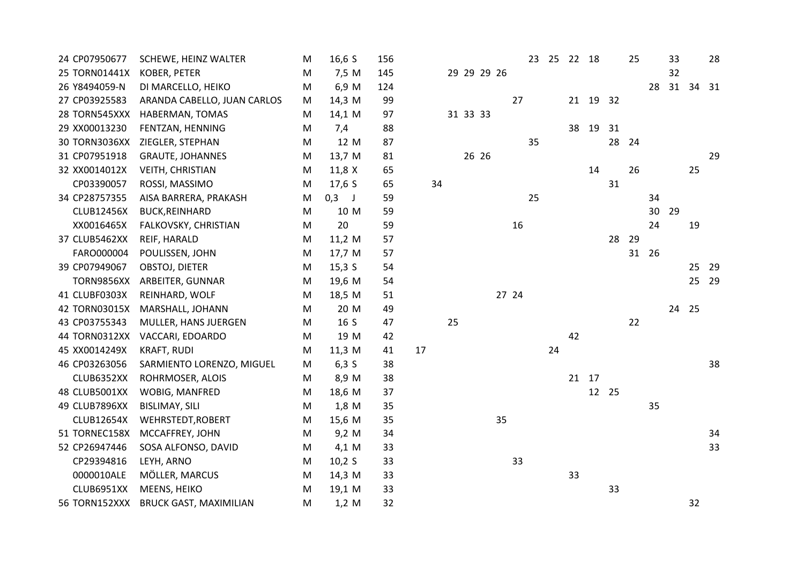| 24 CP07950677     | SCHEWE, HEINZ WALTER          | M | $16,6$ S | 156 |    |    |          |             |       |    | 23 25 22 18 |       |          |       | 25 |       | 33    |    | 28    |
|-------------------|-------------------------------|---|----------|-----|----|----|----------|-------------|-------|----|-------------|-------|----------|-------|----|-------|-------|----|-------|
| 25 TORN01441X     | KOBER, PETER                  | M | 7,5 M    | 145 |    |    |          | 29 29 29 26 |       |    |             |       |          |       |    |       | 32    |    |       |
| 26 Y8494059-N     | DI MARCELLO, HEIKO            | M | 6,9 M    | 124 |    |    |          |             |       |    |             |       |          |       |    | 28    | 31 34 |    | 31    |
| 27 CP03925583     | ARANDA CABELLO, JUAN CARLOS   | M | 14,3 M   | 99  |    |    |          |             | 27    |    |             |       | 21 19 32 |       |    |       |       |    |       |
| 28 TORN545XXX     | HABERMAN, TOMAS               | M | 14,1 M   | 97  |    |    | 31 33 33 |             |       |    |             |       |          |       |    |       |       |    |       |
| 29 XX00013230     | FENTZAN, HENNING              | M | 7,4      | 88  |    |    |          |             |       |    |             | 38    | 19       | 31    |    |       |       |    |       |
| 30 TORN3036XX     | ZIEGLER, STEPHAN              | M | 12 M     | 87  |    |    |          |             |       | 35 |             |       |          | 28    | 24 |       |       |    |       |
| 31 CP07951918     | <b>GRAUTE, JOHANNES</b>       | M | 13,7 M   | 81  |    |    | 26 26    |             |       |    |             |       |          |       |    |       |       |    | 29    |
| 32 XX0014012X     | <b>VEITH, CHRISTIAN</b>       | M | 11,8 X   | 65  |    |    |          |             |       |    |             |       | 14       |       | 26 |       |       | 25 |       |
| CP03390057        | ROSSI, MASSIMO                | M | 17,6S    | 65  | 34 |    |          |             |       |    |             |       |          | 31    |    |       |       |    |       |
| 34 CP28757355     | AISA BARRERA, PRAKASH         | M | $0,3$ J  | 59  |    |    |          |             |       | 25 |             |       |          |       |    | 34    |       |    |       |
| <b>CLUB12456X</b> | <b>BUCK, REINHARD</b>         | M | 10 M     | 59  |    |    |          |             |       |    |             |       |          |       |    | 30    | 29    |    |       |
| XX0016465X        | FALKOVSKY, CHRISTIAN          | M | 20       | 59  |    |    |          |             | 16    |    |             |       |          |       |    | 24    |       | 19 |       |
| 37 CLUB5462XX     | REIF, HARALD                  | M | 11,2 M   | 57  |    |    |          |             |       |    |             |       |          | 28    | 29 |       |       |    |       |
| FARO000004        | POULISSEN, JOHN               | M | 17,7 M   | 57  |    |    |          |             |       |    |             |       |          |       |    | 31 26 |       |    |       |
| 39 CP07949067     | OBSTOJ, DIETER                | M | $15,3$ S | 54  |    |    |          |             |       |    |             |       |          |       |    |       |       | 25 | 29    |
| <b>TORN9856XX</b> | ARBEITER, GUNNAR              | M | 19,6 M   | 54  |    |    |          |             |       |    |             |       |          |       |    |       |       |    | 25 29 |
| 41 CLUBF0303X     | REINHARD, WOLF                | M | 18,5 M   | 51  |    |    |          |             | 27 24 |    |             |       |          |       |    |       |       |    |       |
| 42 TORN03015X     | MARSHALL, JOHANN              | M | 20 M     | 49  |    |    |          |             |       |    |             |       |          |       |    |       | 24 25 |    |       |
| 43 CP03755343     | MULLER, HANS JUERGEN          | M | 16 S     | 47  |    | 25 |          |             |       |    |             |       |          |       | 22 |       |       |    |       |
| 44 TORN0312XX     | VACCARI, EDOARDO              | M | 19 M     | 42  |    |    |          |             |       |    |             | 42    |          |       |    |       |       |    |       |
| 45 XX0014249X     | <b>KRAFT, RUDI</b>            | M | 11,3 M   | 41  | 17 |    |          |             |       |    | 24          |       |          |       |    |       |       |    |       |
| 46 CP03263056     | SARMIENTO LORENZO, MIGUEL     | M | 6,3S     | 38  |    |    |          |             |       |    |             |       |          |       |    |       |       |    | 38    |
| CLUB6352XX        | ROHRMOSER, ALOIS              | M | 8,9 M    | 38  |    |    |          |             |       |    |             | 21 17 |          |       |    |       |       |    |       |
| 48 CLUB5001XX     | WOBIG, MANFRED                | M | 18,6 M   | 37  |    |    |          |             |       |    |             |       |          | 12 25 |    |       |       |    |       |
| 49 CLUB7896XX     | <b>BISLIMAY, SILI</b>         | M | 1,8 M    | 35  |    |    |          |             |       |    |             |       |          |       |    | 35    |       |    |       |
| <b>CLUB12654X</b> | WEHRSTEDT, ROBERT             | M | 15,6 M   | 35  |    |    |          |             | 35    |    |             |       |          |       |    |       |       |    |       |
| 51 TORNEC158X     | MCCAFFREY, JOHN               | M | 9,2 M    | 34  |    |    |          |             |       |    |             |       |          |       |    |       |       |    | 34    |
| 52 CP26947446     | SOSA ALFONSO, DAVID           | M | 4,1 M    | 33  |    |    |          |             |       |    |             |       |          |       |    |       |       |    | 33    |
| CP29394816        | LEYH, ARNO                    | M | 10,2 S   | 33  |    |    |          |             | 33    |    |             |       |          |       |    |       |       |    |       |
| 0000010ALE        | MÖLLER, MARCUS                | M | 14,3 M   | 33  |    |    |          |             |       |    |             | 33    |          |       |    |       |       |    |       |
| CLUB6951XX        | MEENS, HEIKO                  | M | 19,1 M   | 33  |    |    |          |             |       |    |             |       |          | 33    |    |       |       |    |       |
| 56 TORN152XXX     | <b>BRUCK GAST, MAXIMILIAN</b> | M | 1,2 M    | 32  |    |    |          |             |       |    |             |       |          |       |    |       |       | 32 |       |
|                   |                               |   |          |     |    |    |          |             |       |    |             |       |          |       |    |       |       |    |       |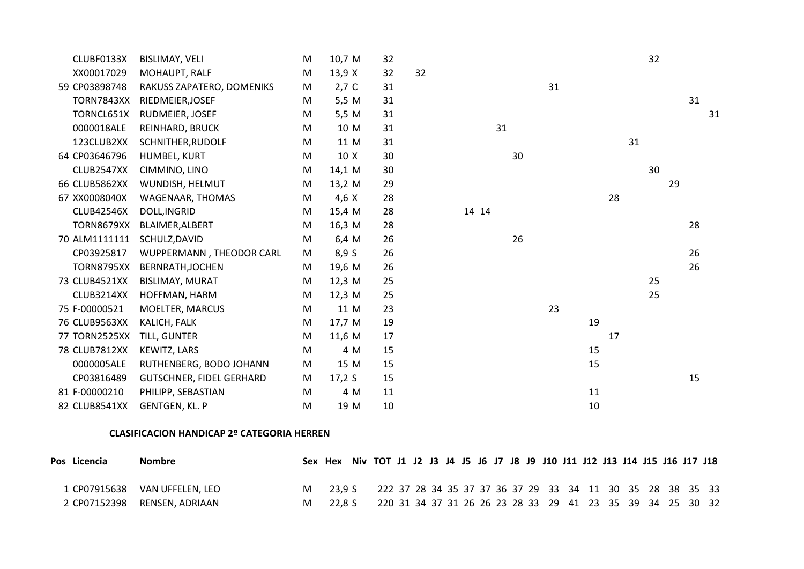| CLUBF0133X        | <b>BISLIMAY, VELI</b>           | M | 10,7 M  | 32 |    |       |    |    |    | 32 |    |    |    |
|-------------------|---------------------------------|---|---------|----|----|-------|----|----|----|----|----|----|----|
| XX00017029        | MOHAUPT, RALF                   | M | 13,9 X  | 32 | 32 |       |    |    |    |    |    |    |    |
| 59 CP03898748     | RAKUSS ZAPATERO, DOMENIKS       | M | $2,7$ C | 31 |    |       | 31 |    |    |    |    |    |    |
| <b>TORN7843XX</b> | RIEDMEIER, JOSEF                | M | 5,5 M   | 31 |    |       |    |    |    |    |    | 31 |    |
| TORNCL651X        | RUDMEIER, JOSEF                 | M | 5,5 M   | 31 |    |       |    |    |    |    |    |    | 31 |
| 0000018ALE        | REINHARD, BRUCK                 | M | 10 M    | 31 |    | 31    |    |    |    |    |    |    |    |
| 123CLUB2XX        | SCHNITHER, RUDOLF               | M | 11 M    | 31 |    |       |    |    |    | 31 |    |    |    |
| 64 CP03646796     | HUMBEL, KURT                    | M | 10 X    | 30 |    | 30    |    |    |    |    |    |    |    |
| CLUB2547XX        | CIMMINO, LINO                   | M | 14,1 M  | 30 |    |       |    |    |    | 30 |    |    |    |
| 66 CLUB5862XX     | WUNDISH, HELMUT                 | M | 13,2 M  | 29 |    |       |    |    |    |    | 29 |    |    |
| 67 XX0008040X     | WAGENAAR, THOMAS                | M | 4,6 X   | 28 |    |       |    |    | 28 |    |    |    |    |
| <b>CLUB42546X</b> | DOLL, INGRID                    | M | 15,4 M  | 28 |    | 14 14 |    |    |    |    |    |    |    |
| <b>TORN8679XX</b> | BLAIMER, ALBERT                 | M | 16,3 M  | 28 |    |       |    |    |    |    |    | 28 |    |
| 70 ALM1111111     | SCHULZ, DAVID                   | M | 6,4 M   | 26 |    | 26    |    |    |    |    |    |    |    |
| CP03925817        | WUPPERMANN, THEODOR CARL        | M | 8,9S    | 26 |    |       |    |    |    |    |    | 26 |    |
| TORN8795XX        | BERNRATH, JOCHEN                | M | 19,6 M  | 26 |    |       |    |    |    |    |    | 26 |    |
| 73 CLUB4521XX     | <b>BISLIMAY, MURAT</b>          | M | 12,3 M  | 25 |    |       |    |    |    | 25 |    |    |    |
| CLUB3214XX        | HOFFMAN, HARM                   | M | 12,3 M  | 25 |    |       |    |    |    | 25 |    |    |    |
| 75 F-00000521     | MOELTER, MARCUS                 | M | 11 M    | 23 |    |       | 23 |    |    |    |    |    |    |
| 76 CLUB9563XX     | KALICH, FALK                    | M | 17,7 M  | 19 |    |       |    | 19 |    |    |    |    |    |
| 77 TORN2525XX     | TILL, GUNTER                    | M | 11,6 M  | 17 |    |       |    |    | 17 |    |    |    |    |
| 78 CLUB7812XX     | KEWITZ, LARS                    | M | 4 M     | 15 |    |       |    | 15 |    |    |    |    |    |
| 0000005ALE        | RUTHENBERG, BODO JOHANN         | M | 15 M    | 15 |    |       |    | 15 |    |    |    |    |    |
| CP03816489        | <b>GUTSCHNER, FIDEL GERHARD</b> | M | 17,2 S  | 15 |    |       |    |    |    |    |    | 15 |    |
| 81 F-00000210     | PHILIPP, SEBASTIAN              | M | 4 M     | 11 |    |       |    | 11 |    |    |    |    |    |
| 82 CLUB8541XX     | GENTGEN, KL. P                  | M | 19 M    | 10 |    |       |    | 10 |    |    |    |    |    |

#### **CLASIFICACION HANDICAP 2º CATEGORIA HERREN**

| Pos Licencia | <b>Nombre</b>                 |   | Sex Hex Niv TOT J1 J2 J3 J4 J5 J6 J7 J8 J9 J10 J11 J12 J13 J14 J15 J16 J17 J18 |  |  |  |  |  |  |  |  |  |  |
|--------------|-------------------------------|---|--------------------------------------------------------------------------------|--|--|--|--|--|--|--|--|--|--|
|              | 1 CP07915638 VAN UFFELEN, LEO |   | M 23,9 S 222 37 28 34 35 37 37 36 37 29 33 34 11 30 35 28 38 35 33             |  |  |  |  |  |  |  |  |  |  |
|              | 2 CP07152398 RENSEN, ADRIAAN  | M | 22,8 S 220 31 34 37 31 26 26 23 28 33 29 41 23 35 39 34 25 30 32               |  |  |  |  |  |  |  |  |  |  |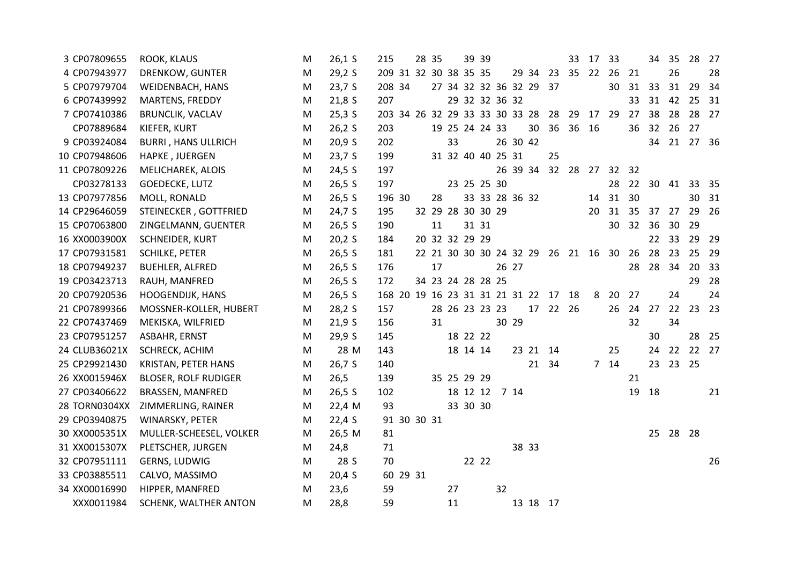| 3 CP07809655  | <b>ROOK, KLAUS</b>          | M | $26,1$ S | 215                                     | 28 35 |                   |             | 39 39 |                   |       |                                     | 33    | 17 | 33              |                 | 34              | 35          | 28    | 27   |
|---------------|-----------------------------|---|----------|-----------------------------------------|-------|-------------------|-------------|-------|-------------------|-------|-------------------------------------|-------|----|-----------------|-----------------|-----------------|-------------|-------|------|
| 4 CP07943977  | DRENKOW, GUNTER             | M | 29,2S    | 209 31 32 30 38 35 35                   |       |                   |             |       |                   |       | 29 34 23 35 22                      |       |    | 26 21           |                 |                 | 26          |       | 28   |
| 5 CP07979704  | WEIDENBACH, HANS            | M | 23,7 S   | 208 34                                  |       |                   |             |       |                   |       | 27 34 32 32 36 32 29 37             |       |    | 30              | 31              | 33              | 31          | 29    | - 34 |
| 6 CP07439992  | MARTENS, FREDDY             | M | 21,8S    | 207                                     |       |                   |             |       | 29 32 32 36 32    |       |                                     |       |    |                 | 33              | 31              | 42          | 25    | 31   |
| 7 CP07410386  | <b>BRUNCLIK, VACLAV</b>     | M | $25,3$ S | 203 34 26 32 29 33 33 30 33 28 28 29 17 |       |                   |             |       |                   |       |                                     |       |    | 29              | 27              | 38              | 28          | 28 27 |      |
| CP07889684    | KIEFER, KURT                | M | 26,2S    | 203                                     |       | 19 25 24 24 33    |             |       |                   |       | 30 36 36                            |       | 16 |                 | 36              | 32 <sup>2</sup> | 26          | 27    |      |
| 9 CP03924084  | <b>BURRI, HANS ULLRICH</b>  | M | 20,9 S   | 202                                     |       | 33                |             |       | 26 30 42          |       |                                     |       |    |                 |                 |                 | 34 21 27 36 |       |      |
| 10 CP07948606 | HAPKE, JUERGEN              | M | 23,7S    | 199                                     |       |                   |             |       | 31 32 40 40 25 31 |       | 25                                  |       |    |                 |                 |                 |             |       |      |
| 11 CP07809226 | MELICHAREK, ALOIS           | M | 24,5 S   | 197                                     |       |                   |             |       |                   |       | 26 39 34 32 28 27 32 32             |       |    |                 |                 |                 |             |       |      |
| CP03278133    | <b>GOEDECKE, LUTZ</b>       | M | 26,5 S   | 197                                     |       |                   | 23 25 25 30 |       |                   |       |                                     |       |    | 28              |                 | 22 30           | 41          | 33 35 |      |
| 13 CP07977856 | MOLL, RONALD                | M | 26,5 S   | 196 30                                  | 28    |                   |             |       | 33 33 28 36 32    |       |                                     |       | 14 | 31 30           |                 |                 |             | 30    | 31   |
| 14 CP29646059 | STEINECKER, GOTTFRIED       | M | 24,7 S   | 195                                     |       | 32 29 28 30 30 29 |             |       |                   |       |                                     |       | 20 | 31              | 35 <sup>2</sup> | 37              | 27          | 29 26 |      |
| 15 CP07063800 | ZINGELMANN, GUENTER         | M | 26,5 S   | 190                                     | 11    |                   |             | 31 31 |                   |       |                                     |       |    |                 | 30 32 36        |                 | 30          | 29    |      |
| 16 XX0003900X | SCHNEIDER, KURT             | M | 20,2S    | 184                                     |       | 20 32 32 29 29    |             |       |                   |       |                                     |       |    |                 |                 | 22              | 33          | 29 29 |      |
| 17 CP07931581 | <b>SCHILKE, PETER</b>       | M | 26,5 S   | 181                                     |       |                   |             |       |                   |       | 22 21 30 30 30 24 32 29 26 21 16 30 |       |    |                 | 26              | 28              | 23          | 25 29 |      |
| 18 CP07949237 | <b>BUEHLER, ALFRED</b>      | M | 26,5 S   | 176                                     | 17    |                   |             |       | 26 27             |       |                                     |       |    |                 | 28              | 28              | 34          | 20    | 33   |
| 19 CP03423713 | RAUH, MANFRED               | M | 26,5 S   | 172                                     |       | 34 23 24 28 28 25 |             |       |                   |       |                                     |       |    |                 |                 |                 |             | 29    | 28   |
| 20 CP07920536 | <b>HOOGENDIJK, HANS</b>     | M | 26,5 S   | 168 20 19 16 23 31 31 21 31 22 17 18    |       |                   |             |       |                   |       |                                     |       | 8  | 20 27           |                 |                 | 24          |       | 24   |
| 21 CP07899366 | MOSSNER-KOLLER, HUBERT      | M | 28,2S    | 157                                     |       | 28 26 23 23 23    |             |       |                   | 17    |                                     | 22 26 |    |                 | 26 24 27        |                 | 22          | 23 23 |      |
| 22 CP07437469 | MEKISKA, WILFRIED           | M | 21,9S    | 156                                     | 31    |                   |             |       | 30 29             |       |                                     |       |    |                 | 32              |                 | 34          |       |      |
| 23 CP07951257 | ASBAHR, ERNST               | M | 29,9 S   | 145                                     |       |                   | 18 22 22    |       |                   |       |                                     |       |    |                 |                 | 30              |             | 28 25 |      |
| 24 CLUB36021X | SCHRECK, ACHIM              | M | 28 M     | 143                                     |       |                   | 18 14 14    |       |                   |       | 23 21 14                            |       |    | 25              |                 | 24              | 22          | 22 27 |      |
| 25 CP29921430 | KRISTAN, PETER HANS         | M | 26,7 S   | 140                                     |       |                   |             |       |                   |       | 21 34                               |       |    | 7 <sub>14</sub> |                 |                 | 23 23 25    |       |      |
| 26 XX0015946X | <b>BLOSER, ROLF RUDIGER</b> | M | 26,5     | 139                                     |       | 35 25 29 29       |             |       |                   |       |                                     |       |    |                 | 21              |                 |             |       |      |
| 27 CP03406622 | <b>BRASSEN, MANFRED</b>     | M | 26,5 S   | 102                                     |       |                   | 18 12 12    |       | 7 14              |       |                                     |       |    |                 | 19              | 18              |             |       | 21   |
| 28 TORN0304XX | ZIMMERLING, RAINER          | M | 22,4 M   | 93                                      |       |                   | 33 30 30    |       |                   |       |                                     |       |    |                 |                 |                 |             |       |      |
| 29 CP03940875 | WINARSKY, PETER             | М | 22,4S    | 91 30 30 31                             |       |                   |             |       |                   |       |                                     |       |    |                 |                 |                 |             |       |      |
| 30 XX0005351X | MULLER-SCHEESEL, VOLKER     | M | 26,5 M   | 81                                      |       |                   |             |       |                   |       |                                     |       |    |                 |                 |                 | 25 28 28    |       |      |
| 31 XX0015307X | PLETSCHER, JURGEN           | M | 24,8     | 71                                      |       |                   |             |       |                   | 38 33 |                                     |       |    |                 |                 |                 |             |       |      |
| 32 CP07951111 | GERNS, LUDWIG               | M | 28 S     | 70                                      |       |                   |             | 22 22 |                   |       |                                     |       |    |                 |                 |                 |             |       | 26   |
| 33 CP03885511 | CALVO, MASSIMO              | M | 20,4S    | 60 29 31                                |       |                   |             |       |                   |       |                                     |       |    |                 |                 |                 |             |       |      |
| 34 XX00016990 | HIPPER, MANFRED             | M | 23,6     | 59                                      |       | 27                |             |       | 32                |       |                                     |       |    |                 |                 |                 |             |       |      |
| XXX0011984    | SCHENK, WALTHER ANTON       | M | 28,8     | 59                                      |       | 11                |             |       |                   |       | 13 18 17                            |       |    |                 |                 |                 |             |       |      |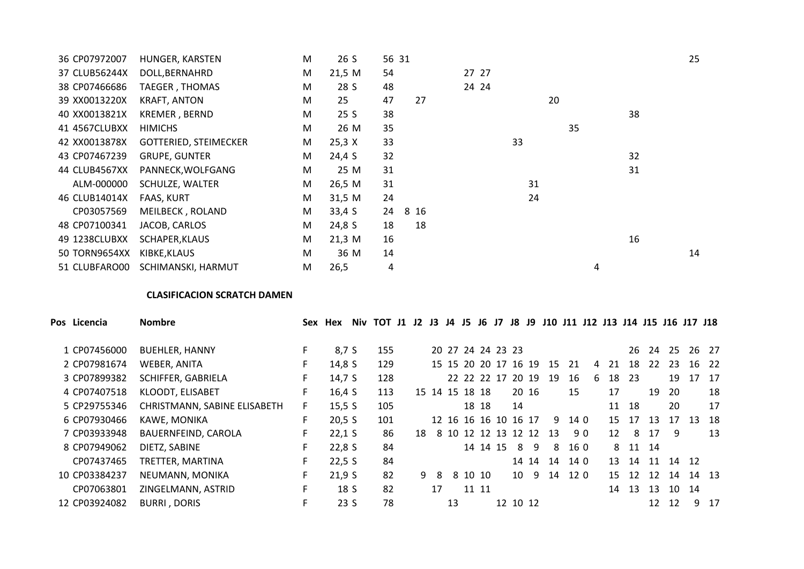| 36 CP07972007 | HUNGER, KARSTEN              | M | 26 S   | 56 31 |      |       |    |   | 25 |
|---------------|------------------------------|---|--------|-------|------|-------|----|---|----|
| 37 CLUB56244X | DOLL, BERNAHRD               | M | 21,5 M | 54    |      | 27 27 |    |   |    |
| 38 CP07466686 | <b>TAEGER, THOMAS</b>        | M | 28 S   | 48    |      | 24 24 |    |   |    |
| 39 XX0013220X | <b>KRAFT, ANTON</b>          | M | 25     | 47    | 27   |       | 20 |   |    |
| 40 XX0013821X | KREMER, BERND                | M | 25 S   | 38    |      |       |    |   | 38 |
| 41 4567CLUBXX | <b>HIMICHS</b>               | M | 26 M   | 35    |      |       | 35 |   |    |
| 42 XX0013878X | <b>GOTTERIED, STEIMECKER</b> | M | 25,3 X | 33    |      | 33    |    |   |    |
| 43 CP07467239 | <b>GRUPE, GUNTER</b>         | M | 24,4 S | 32    |      |       |    |   | 32 |
| 44 CLUB4567XX | PANNECK, WOLFGANG            | M | 25 M   | 31    |      |       |    |   | 31 |
| ALM-000000    | SCHULZE, WALTER              | M | 26,5 M | 31    |      |       | 31 |   |    |
| 46 CLUB14014X | <b>FAAS, KURT</b>            | M | 31,5 M | 24    |      |       | 24 |   |    |
| CP03057569    | MEILBECK, ROLAND             | M | 33,4S  | 24    | 8 16 |       |    |   |    |
| 48 CP07100341 | JACOB, CARLOS                | M | 24,8 S | 18    | 18   |       |    |   |    |
| 49 1238CLUBXX | SCHAPER, KLAUS               | M | 21,3 M | 16    |      |       |    |   | 16 |
| 50 TORN9654XX | KIBKE, KLAUS                 | M | 36 M   | 14    |      |       |    |   | 14 |
| 51 CLUBFARO00 | SCHIMANSKI, HARMUT           | M | 26,5   | 4     |      |       |    | 4 |    |

# **CLASIFICACION SCRATCH DAMEN**

| Pos Licencia  | <b>Nombre</b>                | Sex | Hex      | Niv | TOT J1 J2 |    | J3             | J4 | J5      | J6    | J7                   | J8       | J9                   |    |      |    |                 | J10 J11 J12 J13 J14 J15 J16 J17 J18 |    |      |       |       |
|---------------|------------------------------|-----|----------|-----|-----------|----|----------------|----|---------|-------|----------------------|----------|----------------------|----|------|----|-----------------|-------------------------------------|----|------|-------|-------|
| 1 CP07456000  | <b>BUEHLER, HANNY</b>        | F.  | 8,7 S    |     | 155       |    |                |    |         |       | 20 27 24 24 23 23    |          |                      |    |      |    |                 | 26                                  | 24 | - 25 |       | 26 27 |
| 2 CP07981674  | WEBER, ANITA                 | F.  | 14,8 S   |     | 129       |    |                |    |         |       |                      |          | 15 15 20 20 17 16 19 | 15 | 21   | 4  | 21              | 18                                  | 22 | 23   |       | 16 22 |
| 3 CP07899382  | SCHIFFER, GABRIELA           | F.  | 14,7 S   |     | 128       |    |                |    |         |       | 22 22 22 17          |          | 20 19                | 19 | 16   | 6  | 18              | 23                                  |    | 19   | 17    | 17    |
| 4 CP07407518  | <b>KLOODT, ELISABET</b>      | F.  | 16,4S    |     | 113       |    | 15 14 15 18 18 |    |         |       |                      |          | 20 16                |    | 15   |    | 17              |                                     | 19 | -20  |       | 18    |
| 5 CP29755346  | CHRISTMANN, SABINE ELISABETH | F.  | 15,5 S   |     | 105       |    |                |    |         | 18 18 |                      | 14       |                      |    |      |    | 11              | 18                                  |    | 20   |       | 17    |
| 6 CP07930466  | KAWE, MONIKA                 | F   | 20,5 S   |     | 101       |    |                |    |         |       | 12 16 16 16 10 16 17 |          |                      | 9  | 14 0 |    | 15              | 17                                  | 13 | 17   | 13    | -18   |
| 7 CP03933948  | BAUERNFEIND, CAROLA          | F.  | $22,1$ S |     | 86        | 18 |                |    |         |       |                      |          | 8 10 12 12 13 12 12  | 13 |      | 90 | 12 <sup>1</sup> | 8                                   | 17 | -9   |       | 13    |
| 8 CP07949062  | DIETZ, SABINE                | F.  | 22,8S    |     | 84        |    |                |    |         |       | 14 14 15             | 8        | 9                    | 8  | 16 0 |    |                 | 8 11 14                             |    |      |       |       |
| CP07437465    | TRETTER, MARTINA             | F.  | 22,5S    |     | 84        |    |                |    |         |       |                      |          | 14 14                | 14 | 14 0 |    | 13              | 14                                  | 11 |      | 14 12 |       |
| 10 CP03384237 | NEUMANN, MONIKA              | F.  | 21,9S    |     | 82        | 9  | -8             |    | 8 10 10 |       |                      | 10       | 9                    | 14 | 120  |    | 15 <sup>7</sup> | 12                                  | 12 | 14   |       | 14 13 |
| CP07063801    | ZINGELMANN, ASTRID           | F.  | 18 S     |     | 82        |    | 17             |    |         | 11 11 |                      |          |                      |    |      |    | 14              | 13                                  | 13 |      | 10 14 |       |
| 12 CP03924082 | <b>BURRI, DORIS</b>          | F   | 23S      |     | 78        |    |                | 13 |         |       |                      | 12 10 12 |                      |    |      |    |                 |                                     | 12 | 12   | 9     | 17    |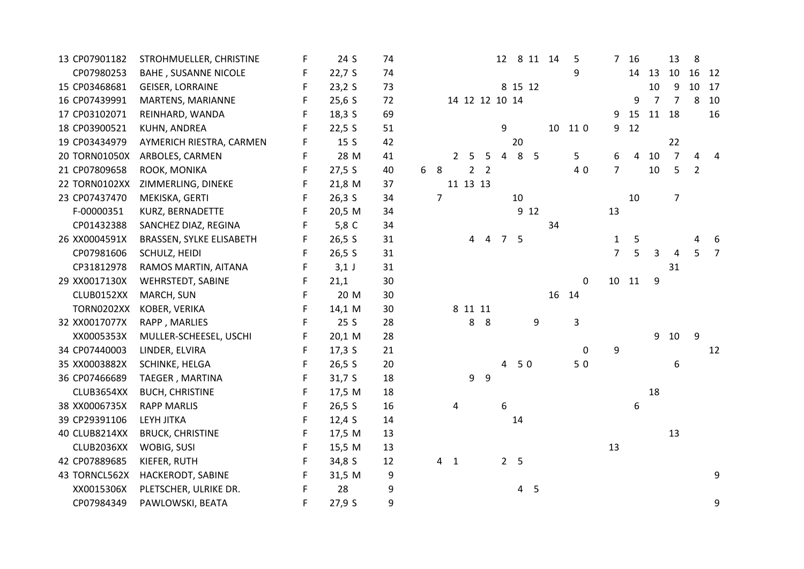| 13 CP07901182     | STROHMUELLER, CHRISTINE     | F  | 24 S    | 74 |   |                |                |         |                |             |                |                | 12 8 11 14 | -5        | $7^{\circ}$    | 16 |    | 13             | 8              |       |
|-------------------|-----------------------------|----|---------|----|---|----------------|----------------|---------|----------------|-------------|----------------|----------------|------------|-----------|----------------|----|----|----------------|----------------|-------|
| CP07980253        | <b>BAHE, SUSANNE NICOLE</b> | F  | 22,7S   | 74 |   |                |                |         |                |             |                |                |            | 9         |                | 14 | 13 | 10             |                | 16 12 |
| 15 CP03468681     | <b>GEISER, LORRAINE</b>     | F  | 23,2S   | 73 |   |                |                |         |                |             | 8 15 12        |                |            |           |                |    | 10 | 9              | 10             | 17    |
| 16 CP07439991     | MARTENS, MARIANNE           | F  | 25,6S   | 72 |   |                | 14 12 12 10 14 |         |                |             |                |                |            |           |                | 9  | 7  | $\overline{7}$ | 8              | 10    |
| 17 CP03102071     | REINHARD, WANDA             | F  | 18,3 S  | 69 |   |                |                |         |                |             |                |                |            |           | 9              | 15 | 11 | 18             |                | 16    |
| 18 CP03900521     | KUHN, ANDREA                | F  | 22,5 S  | 51 |   |                |                |         |                | 9           |                |                | 10         | 11 0      | 9              | 12 |    |                |                |       |
| 19 CP03434979     | AYMERICH RIESTRA, CARMEN    | F  | 15S     | 42 |   |                |                |         |                |             | 20             |                |            |           |                |    |    | 22             |                |       |
| 20 TORN01050X     | ARBOLES, CARMEN             | F  | 28 M    | 41 |   |                | $\overline{2}$ | 5       | 5              | 4           | 8              | $-5$           |            | 5         | 6              | 4  | 10 | $\overline{7}$ | 4              |       |
| 21 CP07809658     | ROOK, MONIKA                | F. | 27,5 S  | 40 | 6 | 8              |                |         | 2 <sub>2</sub> |             |                |                |            | 40        | $\overline{7}$ |    | 10 | 5              | $\overline{2}$ |       |
| 22 TORN0102XX     | ZIMMERLING, DINEKE          | F  | 21,8 M  | 37 |   |                | 11 13 13       |         |                |             |                |                |            |           |                |    |    |                |                |       |
| 23 CP07437470     | MEKISKA, GERTI              | F  | 26,3 S  | 34 |   | $\overline{7}$ |                |         |                |             | 10             |                |            |           |                | 10 |    | $\overline{7}$ |                |       |
| F-00000351        | KURZ, BERNADETTE            | F  | 20,5 M  | 34 |   |                |                |         |                |             |                | 9 12           |            |           | 13             |    |    |                |                |       |
| CP01432388        | SANCHEZ DIAZ, REGINA        | F. | 5,8 C   | 34 |   |                |                |         |                |             |                |                | 34         |           |                |    |    |                |                |       |
| 26 XX0004591X     | BRASSEN, SYLKE ELISABETH    | F  | 26,5 S  | 31 |   |                |                | 4       | 4              | $7^{\circ}$ | 5              |                |            |           | $\mathbf{1}$   | 5  |    |                | 4              | 6     |
| CP07981606        | SCHULZ, HEIDI               | F  | 26,5 S  | 31 |   |                |                |         |                |             |                |                |            |           | $\overline{7}$ | 5  | 3  | 4              | 5              |       |
| CP31812978        | RAMOS MARTIN, AITANA        | F  | $3,1$ J | 31 |   |                |                |         |                |             |                |                |            |           |                |    |    | 31             |                |       |
| 29 XX0017130X     | <b>WEHRSTEDT, SABINE</b>    | F. | 21,1    | 30 |   |                |                |         |                |             |                |                |            | 0         | 10             | 11 | 9  |                |                |       |
| CLUB0152XX        | MARCH, SUN                  | F  | 20 M    | 30 |   |                |                |         |                |             |                |                | 16         | 14        |                |    |    |                |                |       |
| <b>TORN0202XX</b> | KOBER, VERIKA               | F  | 14,1 M  | 30 |   |                |                | 8 11 11 |                |             |                |                |            |           |                |    |    |                |                |       |
| 32 XX0017077X     | RAPP, MARLIES               | F  | 25S     | 28 |   |                |                | 8       | 8              |             |                | 9              |            | 3         |                |    |    |                |                |       |
| XX0005353X        | MULLER-SCHEESEL, USCHI      | F  | 20,1 M  | 28 |   |                |                |         |                |             |                |                |            |           |                |    | 9  | 10             | 9              |       |
| 34 CP07440003     | LINDER, ELVIRA              | F  | 17,3 S  | 21 |   |                |                |         |                |             |                |                |            | $\pmb{0}$ | 9              |    |    |                |                | 12    |
| 35 XX0003882X     | SCHINKE, HELGA              | F  | 26,5 S  | 20 |   |                |                |         |                | 4           | 50             |                |            | 50        |                |    |    | 6              |                |       |
| 36 CP07466689     | TAEGER, MARTINA             | F  | 31,7S   | 18 |   |                |                | 9       | 9              |             |                |                |            |           |                |    |    |                |                |       |
| CLUB3654XX        | <b>BUCH, CHRISTINE</b>      | F  | 17,5 M  | 18 |   |                |                |         |                |             |                |                |            |           |                |    | 18 |                |                |       |
| 38 XX0006735X     | <b>RAPP MARLIS</b>          | F  | 26,5 S  | 16 |   |                | 4              |         |                | 6           |                |                |            |           |                | 6  |    |                |                |       |
| 39 CP29391106     | <b>LEYH JITKA</b>           | F  | 12,4S   | 14 |   |                |                |         |                |             | 14             |                |            |           |                |    |    |                |                |       |
| 40 CLUB8214XX     | <b>BRUCK, CHRISTINE</b>     | F. | 17,5 M  | 13 |   |                |                |         |                |             |                |                |            |           |                |    |    | 13             |                |       |
| CLUB2036XX        | WOBIG, SUSI                 | F  | 15,5 M  | 13 |   |                |                |         |                |             |                |                |            |           | 13             |    |    |                |                |       |
| 42 CP07889685     | KIEFER, RUTH                | F  | 34,8 S  | 12 |   |                | 4 <sub>1</sub> |         |                |             | 2 <sub>5</sub> |                |            |           |                |    |    |                |                |       |
| 43 TORNCL562X     | HACKERODT, SABINE           | F  | 31,5 M  | 9  |   |                |                |         |                |             |                |                |            |           |                |    |    |                |                | 9     |
| XX0015306X        | PLETSCHER, ULRIKE DR.       | F  | 28      | 9  |   |                |                |         |                |             |                | 4 <sub>5</sub> |            |           |                |    |    |                |                |       |
| CP07984349        | PAWLOWSKI, BEATA            | F  | 27,9S   | 9  |   |                |                |         |                |             |                |                |            |           |                |    |    |                |                | 9     |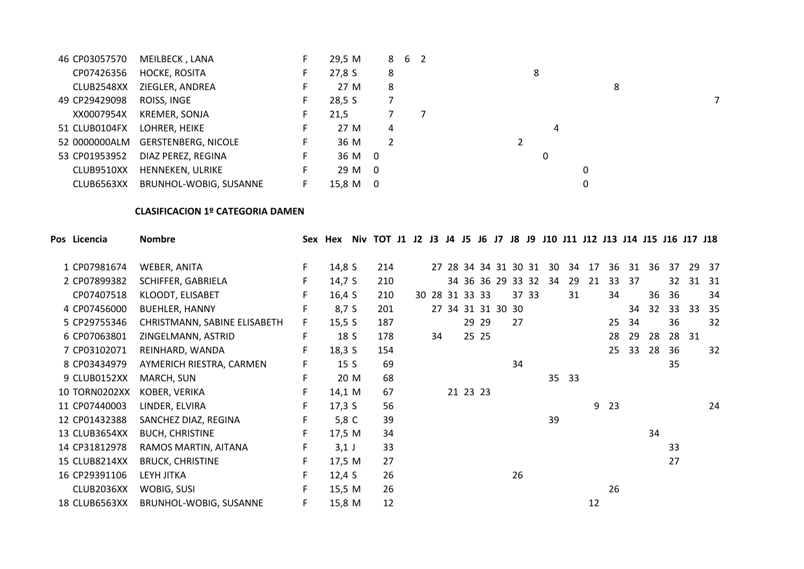| 46 CP03057570 | MEILBECK, LANA                    |     | 29,5 M   |   | 8 6 2 |   |  |
|---------------|-----------------------------------|-----|----------|---|-------|---|--|
| CP07426356    | <b>HOCKE, ROSITA</b>              | н.  | 27,8 S   | 8 |       | 8 |  |
| CLUB2548XX    | ZIEGLER, ANDREA                   | H., | 27 M     | 8 |       | 8 |  |
| 49 CP29429098 | ROISS, INGE                       |     | 28,5S    |   |       |   |  |
| XX0007954X    | <b>KREMER, SONJA</b>              |     | 21,5     |   |       |   |  |
| 51 CLUB0104FX | LOHRER, HEIKE                     | F.  | 27 M     | 4 |       | 4 |  |
|               | 52 0000000ALM GERSTENBERG, NICOLE | F.  | 36 M     | 2 |       |   |  |
| 53 CP01953952 | DIAZ PEREZ, REGINA                | F.  | 36 M 0   |   |       | 0 |  |
| CLUB9510XX    | HENNEKEN, ULRIKE                  | F.  | 29 M 0   |   |       | 0 |  |
| CLUB6563XX    | BRUNHOL-WOBIG, SUSANNE            | F.  | 15.8 M 0 |   |       | 0 |  |

# **CLASIFICACION 1º CATEGORIA DAMEN**

| Pos Licencia         | <b>Nombre</b>                |    | Sex Hex         |      | Niv TOT J1 J2 J3 J4 J5 J6 J7 J8 J9 J10 J11 J12 J13 J14 J15 J16 J17 J18 |  |    |                |       |                      |    |       |    |       |    |    |    |    |    |    |       |
|----------------------|------------------------------|----|-----------------|------|------------------------------------------------------------------------|--|----|----------------|-------|----------------------|----|-------|----|-------|----|----|----|----|----|----|-------|
| 1 CP07981674         | WEBER, ANITA                 | F  | 14,8 S          |      | 214                                                                    |  |    |                |       | 27 28 34 34 31 30 31 |    |       | 30 | 34    | 17 | 36 | 31 | 36 | 37 | 29 | - 37  |
| 2 CP07899382         | SCHIFFER, GABRIELA           | F. | 14,7 S          |      | 210                                                                    |  |    |                |       | 34 36 36 29 33 32    |    |       | 34 | 29    | 21 | 33 | 37 |    | 32 |    | 31 31 |
| CP07407518           | KLOODT, ELISABET             | F. | 16,4S           |      | 210                                                                    |  |    | 30 28 31 33 33 |       |                      |    | 37 33 |    | 31    |    | 34 |    | 36 | 36 |    | 34    |
| 4 CP07456000         | <b>BUEHLER, HANNY</b>        | F  | 8,7 S           |      | 201                                                                    |  |    |                |       | 27 34 31 31 30 30    |    |       |    |       |    |    | 34 | 32 | 33 | 33 | 35    |
| 5 CP29755346         | CHRISTMANN, SABINE ELISABETH | F. | 15,5 S          |      | 187                                                                    |  |    |                | 29 29 |                      | 27 |       |    |       |    | 25 | 34 |    | 36 |    | 32    |
| 6 CP07063801         | ZINGELMANN, ASTRID           | F  | 18 S            |      | 178                                                                    |  | 34 |                | 25 25 |                      |    |       |    |       |    | 28 | 29 | 28 | 28 | 31 |       |
| 7 CP03102071         | REINHARD, WANDA              | F  | 18,35           |      | 154                                                                    |  |    |                |       |                      |    |       |    |       |    | 25 | 33 | 28 | 36 |    | 32    |
| 8 CP03434979         | AYMERICH RIESTRA, CARMEN     | F. | 15 <sub>S</sub> |      | 69                                                                     |  |    |                |       |                      | 34 |       |    |       |    |    |    |    | 35 |    |       |
| 9 CLUB0152XX         | MARCH, SUN                   | F  |                 | 20 M | 68                                                                     |  |    |                |       |                      |    |       |    | 35 33 |    |    |    |    |    |    |       |
| <b>10 TORN0202XX</b> | KOBER, VERIKA                | F. | 14,1 M          |      | 67                                                                     |  |    | 21 23 23       |       |                      |    |       |    |       |    |    |    |    |    |    |       |
| 11 CP07440003        | LINDER, ELVIRA               | F  | 17,3 S          |      | 56                                                                     |  |    |                |       |                      |    |       |    |       | 9  | 23 |    |    |    |    | 24    |
| 12 CP01432388        | SANCHEZ DIAZ, REGINA         | F  | 5,8 C           |      | 39                                                                     |  |    |                |       |                      |    |       | 39 |       |    |    |    |    |    |    |       |
| 13 CLUB3654XX        | <b>BUCH, CHRISTINE</b>       | F  | 17,5 M          |      | 34                                                                     |  |    |                |       |                      |    |       |    |       |    |    |    | 34 |    |    |       |
| 14 CP31812978        | RAMOS MARTIN, AITANA         | F  | $3,1$ J         |      | 33                                                                     |  |    |                |       |                      |    |       |    |       |    |    |    |    | 33 |    |       |
| <b>15 CLUB8214XX</b> | <b>BRUCK, CHRISTINE</b>      | F  | 17,5 M          |      | 27                                                                     |  |    |                |       |                      |    |       |    |       |    |    |    |    | 27 |    |       |
| 16 CP29391106        | LEYH JITKA                   | F  | 12,4 $S$        |      | 26                                                                     |  |    |                |       |                      | 26 |       |    |       |    |    |    |    |    |    |       |
| CLUB2036XX           | <b>WOBIG, SUSI</b>           | F. | 15,5 M          |      | 26                                                                     |  |    |                |       |                      |    |       |    |       |    | 26 |    |    |    |    |       |
| 18 CLUB6563XX        | BRUNHOL-WOBIG, SUSANNE       | F  | 15,8 M          |      | 12                                                                     |  |    |                |       |                      |    |       |    |       | 12 |    |    |    |    |    |       |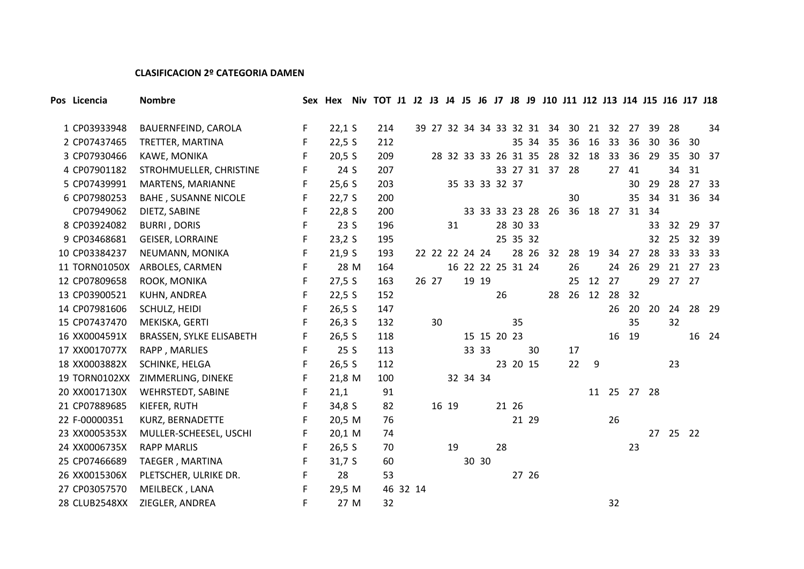# **CLASIFICACION 2º CATEGORIA DAMEN**

| Pos Licencia         | <b>Nombre</b>               |        |                | Sex Hex Niv TOT J1 J2 J3 J4 J5 J6 J7 J8 J9 J10 J11 J12 J13 J14 J15 J16 J17 J18 |       |       |                |       |                      |          |       |                               |    |          |       |             |      |       |    |       |
|----------------------|-----------------------------|--------|----------------|--------------------------------------------------------------------------------|-------|-------|----------------|-------|----------------------|----------|-------|-------------------------------|----|----------|-------|-------------|------|-------|----|-------|
| 1 CP03933948         | BAUERNFEIND, CAROLA         | F      | $22,1$ S       | 214                                                                            |       |       |                |       |                      |          |       | 39 27 32 34 34 33 32 31 34 30 |    | 21       | 32    | 27          | -39  | -28   |    | 34    |
| 2 CP07437465         |                             |        |                | 212                                                                            |       |       |                |       |                      |          |       |                               | 36 |          | 33    |             | 30   | 36    |    |       |
|                      | TRETTER, MARTINA            | F<br>F | 22,5S          | 209                                                                            |       |       |                |       | 28 32 33 33 26 31 35 |          | 35 34 | 35<br>28                      | 32 | 16<br>18 | 33    | 36<br>36    | 29   | 35    | 30 | 30 37 |
| 3 CP07930466         | KAWE, MONIKA                |        | 20,5 S<br>24 S | 207                                                                            |       |       |                |       |                      |          |       | 33 27 31 37                   | 28 |          | 27    | 41          |      | 34    | 31 |       |
| 4 CP07901182         | STROHMUELLER, CHRISTINE     | F      |                |                                                                                |       |       |                |       |                      |          |       |                               |    |          |       |             |      |       |    |       |
| 5 CP07439991         | MARTENS, MARIANNE           | F      | 25,6S          | 203                                                                            |       |       |                |       | 35 33 33 32 37       |          |       |                               |    |          |       | 30          | 29   | 28    |    | 27 33 |
| 6 CP07980253         | <b>BAHE, SUSANNE NICOLE</b> | F      | 22,7S          | 200                                                                            |       |       |                |       |                      |          |       |                               | 30 |          |       | 35          | 34   | 31    |    | 36 34 |
| CP07949062           | DIETZ, SABINE               | F      | 22,8S          | 200                                                                            |       |       |                |       | 33 33 33 23 28       |          |       | 26                            |    |          |       | 36 18 27 31 | 34   |       |    |       |
| 8 CP03924082         | <b>BURRI, DORIS</b>         | F      | 23S            | 196                                                                            |       | 31    |                |       |                      | 28 30 33 |       |                               |    |          |       |             | 33   | 32    | 29 | - 37  |
| 9 CP03468681         | <b>GEISER, LORRAINE</b>     | F      | 23,2S          | 195                                                                            |       |       |                |       |                      | 25 35 32 |       |                               |    |          |       |             | 32   | 25    |    | 32 39 |
| 10 CP03384237        | NEUMANN, MONIKA             | F      | 21,9S          | 193                                                                            |       |       | 22 22 22 24 24 |       |                      |          |       | 28 26 32                      | 28 | 19       | 34    | 27          | 28   | 33    |    | 33 33 |
| 11 TORN01050X        | ARBOLES, CARMEN             | F      | 28 M           | 164                                                                            |       |       |                |       | 16 22 22 25 31 24    |          |       |                               | 26 |          | 24    | 26          | 29   | 21    |    | 27 23 |
| 12 CP07809658        | ROOK, MONIKA                | F      | 27,5 S         | 163                                                                            | 26 27 |       |                | 19 19 |                      |          |       |                               | 25 |          | 12 27 |             | 29   | 27 27 |    |       |
| 13 CP03900521        | KUHN, ANDREA                | F      | 22,5S          | 152                                                                            |       |       |                |       | 26                   |          |       | 28                            | 26 | 12       | 28    | 32          |      |       |    |       |
| 14 CP07981606        | SCHULZ, HEIDI               | F      | 26,5 S         | 147                                                                            |       |       |                |       |                      |          |       |                               |    |          | 26    | 20          | 20   | 24    |    | 28 29 |
| 15 CP07437470        | MEKISKA, GERTI              | F      | $26,3$ S       | 132                                                                            | 30    |       |                |       |                      | 35       |       |                               |    |          |       | 35          |      | 32    |    |       |
| 16 XX0004591X        | BRASSEN, SYLKE ELISABETH    | F      | 26,5 S         | 118                                                                            |       |       |                |       | 15 15 20 23          |          |       |                               |    |          | 16    | 19          |      |       |    | 16 24 |
| 17 XX0017077X        | RAPP, MARLIES               | F      | 25 S           | 113                                                                            |       |       |                | 33 33 |                      |          | 30    |                               | 17 |          |       |             |      |       |    |       |
| 18 XX0003882X        | SCHINKE, HELGA              | F      | 26,5 S         | 112                                                                            |       |       |                |       |                      | 23 20 15 |       |                               | 22 | -9       |       |             |      | 23    |    |       |
| 19 TORN0102XX        | ZIMMERLING, DINEKE          | F      | 21,8 M         | 100                                                                            |       |       | 32 34 34       |       |                      |          |       |                               |    |          |       |             |      |       |    |       |
| 20 XX0017130X        | <b>WEHRSTEDT, SABINE</b>    | F      | 21,1           | 91                                                                             |       |       |                |       |                      |          |       |                               |    | 11       |       | 25 27       | - 28 |       |    |       |
| 21 CP07889685        | KIEFER, RUTH                | F      | 34,8 S         | 82                                                                             |       | 16 19 |                |       |                      | 21 26    |       |                               |    |          |       |             |      |       |    |       |
| 22 F-00000351        | KURZ, BERNADETTE            |        | 20,5 M         | 76                                                                             |       |       |                |       |                      |          | 21 29 |                               |    |          | 26    |             |      |       |    |       |
| 23 XX0005353X        | MULLER-SCHEESEL, USCHI      | F      | 20,1 M         | 74                                                                             |       |       |                |       |                      |          |       |                               |    |          |       |             | 27   | 25 22 |    |       |
| 24 XX0006735X        | <b>RAPP MARLIS</b>          | F      | 26,5 S         | 70                                                                             |       | 19    |                |       | 28                   |          |       |                               |    |          |       | 23          |      |       |    |       |
| 25 CP07466689        | TAEGER, MARTINA             | F      | 31,7S          | 60                                                                             |       |       |                | 30 30 |                      |          |       |                               |    |          |       |             |      |       |    |       |
| 26 XX0015306X        | PLETSCHER, ULRIKE DR.       | F      | 28             | 53                                                                             |       |       |                |       |                      |          | 27 26 |                               |    |          |       |             |      |       |    |       |
| 27 CP03057570        | MEILBECK, LANA              | F      | 29,5 M         | 46 32 14                                                                       |       |       |                |       |                      |          |       |                               |    |          |       |             |      |       |    |       |
| <b>28 CLUB2548XX</b> | ZIEGLER, ANDREA             | F      | 27 M           | 32                                                                             |       |       |                |       |                      |          |       |                               |    |          | 32    |             |      |       |    |       |